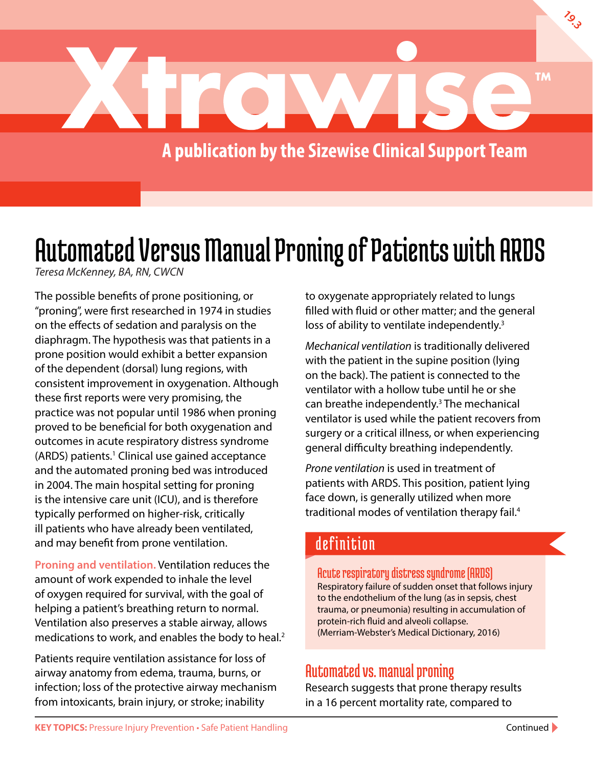

# Automated Versus Manual Proning of Patients with ARDS

*Teresa McKenney, BA, RN, CWCN*

The possible benefits of prone positioning, or "proning", were first researched in 1974 in studies on the effects of sedation and paralysis on the diaphragm. The hypothesis was that patients in a prone position would exhibit a better expansion of the dependent (dorsal) lung regions, with consistent improvement in oxygenation. Although these first reports were very promising, the practice was not popular until 1986 when proning proved to be beneficial for both oxygenation and outcomes in acute respiratory distress syndrome (ARDS) patients.<sup>1</sup> Clinical use gained acceptance and the automated proning bed was introduced in 2004. The main hospital setting for proning is the intensive care unit (ICU), and is therefore typically performed on higher-risk, critically ill patients who have already been ventilated, and may benefit from prone ventilation.

**Proning and ventilation.** Ventilation reduces the amount of work expended to inhale the level of oxygen required for survival, with the goal of helping a patient's breathing return to normal. Ventilation also preserves a stable airway, allows medications to work, and enables the body to heal.<sup>2</sup>

Patients require ventilation assistance for loss of airway anatomy from edema, trauma, burns, or infection; loss of the protective airway mechanism from intoxicants, brain injury, or stroke; inability

to oxygenate appropriately related to lungs filled with fluid or other matter; and the general loss of ability to ventilate independently.<sup>3</sup>

*Mechanical ventilation* is traditionally delivered with the patient in the supine position (lying on the back). The patient is connected to the ventilator with a hollow tube until he or she can breathe independently.<sup>3</sup> The mechanical ventilator is used while the patient recovers from surgery or a critical illness, or when experiencing general difficulty breathing independently.

*Prone ventilation* is used in treatment of patients with ARDS. This position, patient lying face down, is generally utilized when more traditional modes of ventilation therapy fail.4

# definition

Acute respiratory distress syndrome (ARDS) Respiratory failure of sudden onset that follows injury to the endothelium of the lung (as in sepsis, chest trauma, or pneumonia) resulting in accumulation of protein-rich fluid and alveoli collapse. (Merriam-Webster's Medical Dictionary, 2016)

## Automated vs. manual proning

Research suggests that prone therapy results in a 16 percent mortality rate, compared to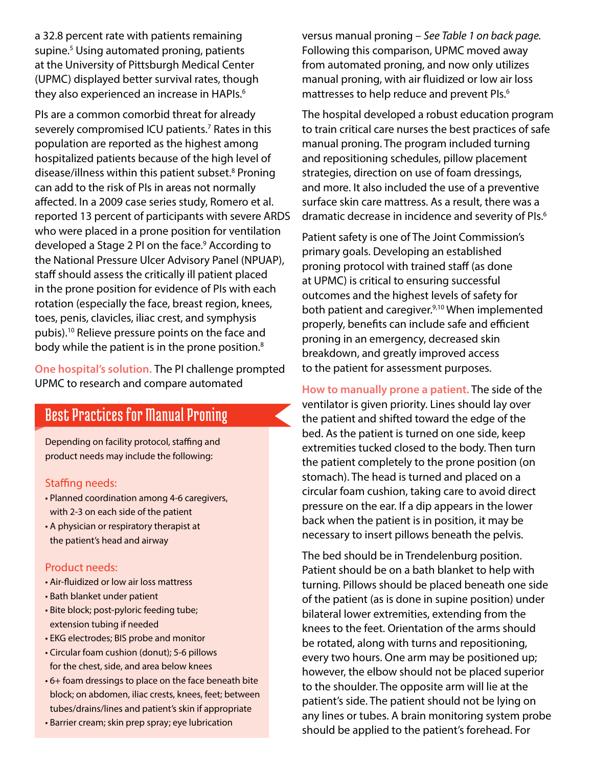a 32.8 percent rate with patients remaining supine.<sup>5</sup> Using automated proning, patients at the University of Pittsburgh Medical Center (UPMC) displayed better survival rates, though they also experienced an increase in HAPIs.<sup>6</sup>

PIs are a common comorbid threat for already severely compromised ICU patients.<sup>7</sup> Rates in this population are reported as the highest among hospitalized patients because of the high level of disease/illness within this patient subset.<sup>8</sup> Proning can add to the risk of PIs in areas not normally affected. In a 2009 case series study, Romero et al. reported 13 percent of participants with severe ARDS who were placed in a prone position for ventilation developed a Stage 2 PI on the face.<sup>9</sup> According to the National Pressure Ulcer Advisory Panel (NPUAP), staff should assess the critically ill patient placed in the prone position for evidence of PIs with each rotation (especially the face, breast region, knees, toes, penis, clavicles, iliac crest, and symphysis pubis).10 Relieve pressure points on the face and body while the patient is in the prone position.<sup>8</sup>

**One hospital's solution.** The PI challenge prompted UPMC to research and compare automated

## Best Practices for Manual Proning

Depending on facility protocol, staffing and product needs may include the following:

#### Staffing needs:

- Planned coordination among 4-6 caregivers, with 2-3 on each side of the patient
- A physician or respiratory therapist at the patient's head and airway

#### Product needs:

- Air-fluidized or low air loss mattress
- Bath blanket under patient
- Bite block; post-pyloric feeding tube; extension tubing if needed
- EKG electrodes; BIS probe and monitor
- Circular foam cushion (donut); 5-6 pillows for the chest, side, and area below knees
- 6+ foam dressings to place on the face beneath bite block; on abdomen, iliac crests, knees, feet; between tubes/drains/lines and patient's skin if appropriate
- Barrier cream; skin prep spray; eye lubrication

versus manual proning – *See Table 1 on back page.* Following this comparison, UPMC moved away from automated proning, and now only utilizes manual proning, with air fluidized or low air loss mattresses to help reduce and prevent PIs.<sup>6</sup>

The hospital developed a robust education program to train critical care nurses the best practices of safe manual proning. The program included turning and repositioning schedules, pillow placement strategies, direction on use of foam dressings, and more. It also included the use of a preventive surface skin care mattress. As a result, there was a dramatic decrease in incidence and severity of PIs.<sup>6</sup>

Patient safety is one of The Joint Commission's primary goals. Developing an established proning protocol with trained staff (as done at UPMC) is critical to ensuring successful outcomes and the highest levels of safety for both patient and caregiver.<sup>9,10</sup> When implemented properly, benefits can include safe and efficient proning in an emergency, decreased skin breakdown, and greatly improved access to the patient for assessment purposes.

**How to manually prone a patient.** The side of the ventilator is given priority. Lines should lay over the patient and shifted toward the edge of the bed. As the patient is turned on one side, keep extremities tucked closed to the body. Then turn the patient completely to the prone position (on stomach). The head is turned and placed on a circular foam cushion, taking care to avoid direct pressure on the ear. If a dip appears in the lower back when the patient is in position, it may be necessary to insert pillows beneath the pelvis.

The bed should be in Trendelenburg position. Patient should be on a bath blanket to help with turning. Pillows should be placed beneath one side of the patient (as is done in supine position) under bilateral lower extremities, extending from the knees to the feet. Orientation of the arms should be rotated, along with turns and repositioning, every two hours. One arm may be positioned up; however, the elbow should not be placed superior to the shoulder. The opposite arm will lie at the patient's side. The patient should not be lying on any lines or tubes. A brain monitoring system probe should be applied to the patient's forehead. For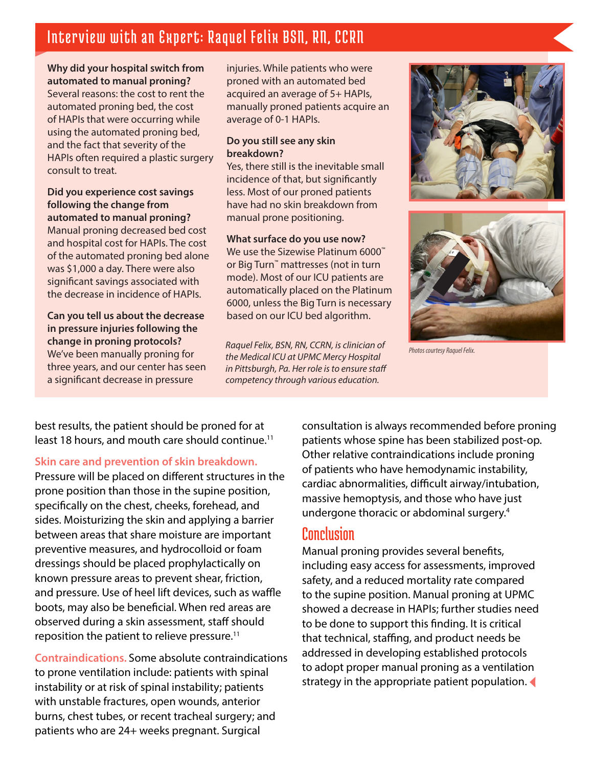## Interview with an Expert: Raquel Felix BSN, RN, CCRN

#### **Why did your hospital switch from automated to manual proning?**

Several reasons: the cost to rent the automated proning bed, the cost of HAPIs that were occurring while using the automated proning bed, and the fact that severity of the HAPIs often required a plastic surgery consult to treat.

**Did you experience cost savings following the change from automated to manual proning?**  Manual proning decreased bed cost and hospital cost for HAPIs. The cost of the automated proning bed alone was \$1,000 a day. There were also significant savings associated with the decrease in incidence of HAPIs.

**Can you tell us about the decrease in pressure injuries following the change in proning protocols?** We've been manually proning for three years, and our center has seen a significant decrease in pressure

injuries. While patients who were proned with an automated bed acquired an average of 5+ HAPIs, manually proned patients acquire an average of 0-1 HAPIs.

#### **Do you still see any skin breakdown?**

Yes, there still is the inevitable small incidence of that, but significantly less. Most of our proned patients have had no skin breakdown from manual prone positioning.

#### **What surface do you use now?**

We use the Sizewise Platinum 6000<sup>™</sup> or Big Turn™ mattresses (not in turn mode). Most of our ICU patients are automatically placed on the Platinum 6000, unless the Big Turn is necessary based on our ICU bed algorithm.

*Photos courtesy Raquel Felix. Raquel Felix, BSN, RN, CCRN, is clinician of the Medical ICU at UPMC Mercy Hospital in Pittsburgh, Pa. Her role is to ensure staff competency through various education.*





best results, the patient should be proned for at least 18 hours, and mouth care should continue.<sup>11</sup>

#### **Skin care and prevention of skin breakdown.**

Pressure will be placed on different structures in the prone position than those in the supine position, specifically on the chest, cheeks, forehead, and sides. Moisturizing the skin and applying a barrier between areas that share moisture are important preventive measures, and hydrocolloid or foam dressings should be placed prophylactically on known pressure areas to prevent shear, friction, and pressure. Use of heel lift devices, such as waffle boots, may also be beneficial. When red areas are observed during a skin assessment, staff should reposition the patient to relieve pressure.<sup>11</sup>

**Contraindications.** Some absolute contraindications to prone ventilation include: patients with spinal instability or at risk of spinal instability; patients with unstable fractures, open wounds, anterior burns, chest tubes, or recent tracheal surgery; and patients who are 24+ weeks pregnant. Surgical

consultation is always recommended before proning patients whose spine has been stabilized post-op. Other relative contraindications include proning of patients who have hemodynamic instability, cardiac abnormalities, difficult airway/intubation, massive hemoptysis, and those who have just undergone thoracic or abdominal surgery.4

### Conclusion

Manual proning provides several benefits, including easy access for assessments, improved safety, and a reduced mortality rate compared to the supine position. Manual proning at UPMC showed a decrease in HAPIs; further studies need to be done to support this finding. It is critical that technical, staffing, and product needs be addressed in developing established protocols to adopt proper manual proning as a ventilation strategy in the appropriate patient population.